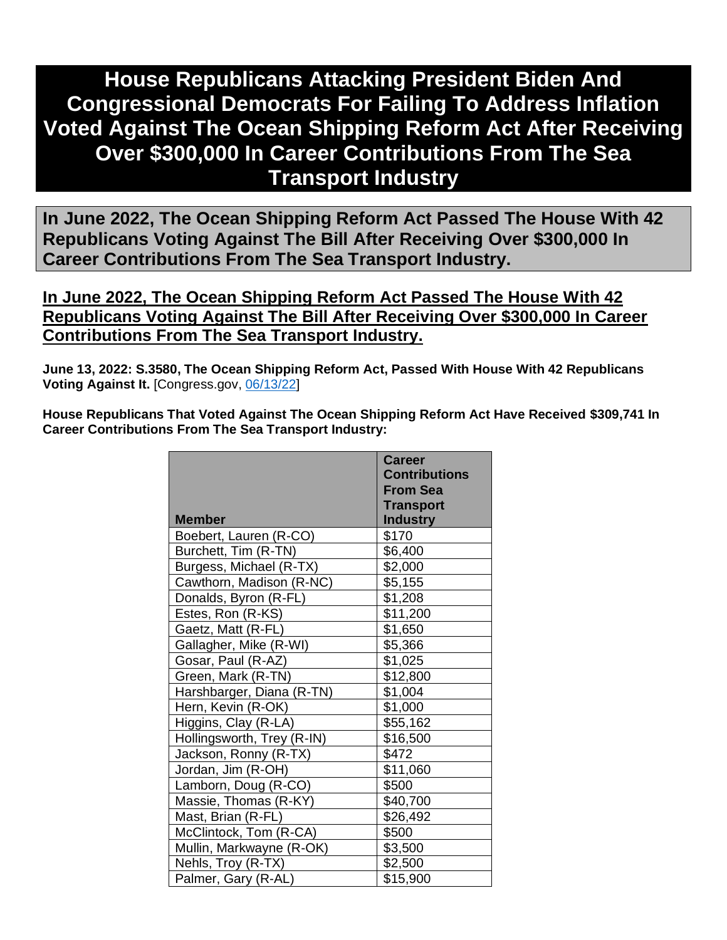# **House Republicans Attacking President Biden And Congressional Democrats For Failing To Address Inflation Voted Against The Ocean Shipping Reform Act After Receiving Over \$300,000 In Career Contributions From The Sea Transport Industry**

**In June 2022, The Ocean Shipping Reform Act Passed The House With 42 Republicans Voting Against The Bill After Receiving Over \$300,000 In Career Contributions From The Sea Transport Industry.** 

### **In June 2022, The Ocean Shipping Reform Act Passed The House With 42 Republicans Voting Against The Bill After Receiving Over \$300,000 In Career Contributions From The Sea Transport Industry.**

**June 13, 2022: S.3580, The Ocean Shipping Reform Act, Passed With House With 42 Republicans Voting Against It.** [Congress.gov, [06/13/22\]](https://clerk.house.gov/Votes/2022256)

**House Republicans That Voted Against The Ocean Shipping Reform Act Have Received \$309,741 In Career Contributions From The Sea Transport Industry:** 

|                            | Career               |
|----------------------------|----------------------|
|                            | <b>Contributions</b> |
|                            | <b>From Sea</b>      |
|                            | <b>Transport</b>     |
| <b>Member</b>              | <b>Industry</b>      |
| Boebert, Lauren (R-CO)     | \$170                |
| Burchett, Tim (R-TN)       | \$6,400              |
| Burgess, Michael (R-TX)    | \$2,000              |
| Cawthorn, Madison (R-NC)   | \$5,155              |
| Donalds, Byron (R-FL)      | \$1,208              |
| Estes, Ron (R-KS)          | \$11,200             |
| Gaetz, Matt (R-FL)         | \$1,650              |
| Gallagher, Mike (R-WI)     | \$5,366              |
| Gosar, Paul (R-AZ)         | \$1,025              |
| Green, Mark (R-TN)         | \$12,800             |
| Harshbarger, Diana (R-TN)  | \$1,004              |
| Hern, Kevin (R-OK)         | \$1,000              |
| Higgins, Clay (R-LA)       | \$55,162             |
| Hollingsworth, Trey (R-IN) | \$16,500             |
| Jackson, Ronny (R-TX)      | \$472                |
| Jordan, Jim (R-OH)         | \$11,060             |
| Lamborn, Doug (R-CO)       | \$500                |
| Massie, Thomas (R-KY)      | \$40,700             |
| Mast, Brian (R-FL)         | \$26,492             |
| McClintock, Tom (R-CA)     | \$500                |
| Mullin, Markwayne (R-OK)   | \$3,500              |
| Nehls, Troy (R-TX)         | \$2,500              |
| Palmer, Gary (R-AL)        | \$15,900             |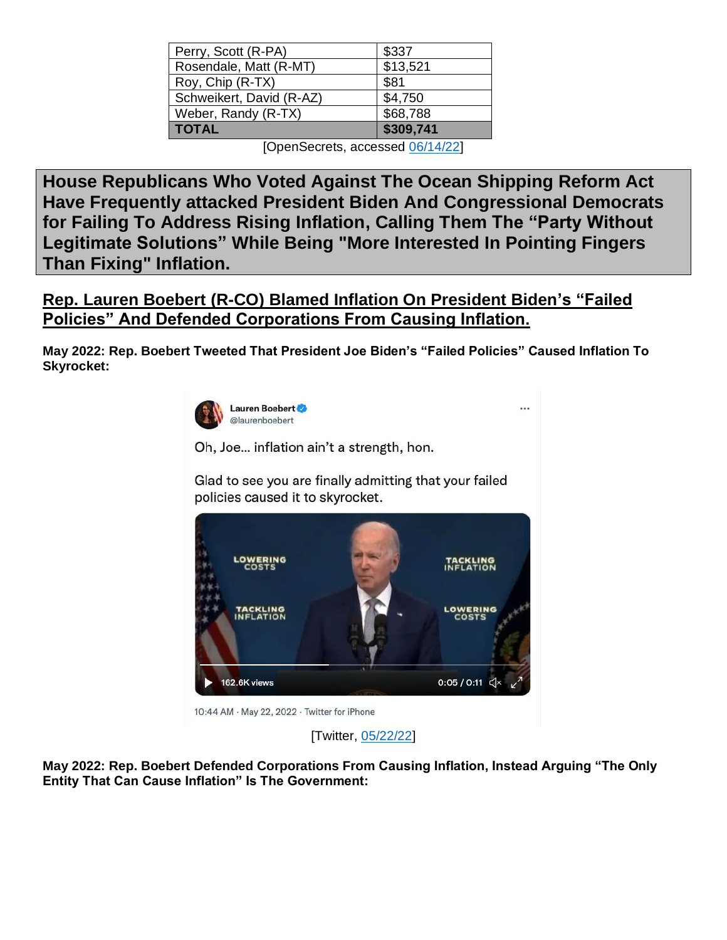| Perry, Scott (R-PA)      | \$337     |
|--------------------------|-----------|
| Rosendale, Matt (R-MT)   | \$13,521  |
| Roy, Chip (R-TX)         | \$81      |
| Schweikert, David (R-AZ) | \$4,750   |
| Weber, Randy (R-TX)      | \$68,788  |
| <b>TOTAL</b>             | \$309,741 |

[OpenSecrets, accessed [06/14/22\]](https://www.opensecrets.org/industries/summary.php?ind=M05&cycle=All&recipdetail=H&sortorder=N&mem=Y&page=10)

**House Republicans Who Voted Against The Ocean Shipping Reform Act Have Frequently attacked President Biden And Congressional Democrats for Failing To Address Rising Inflation, Calling Them The "Party Without Legitimate Solutions" While Being "More Interested In Pointing Fingers Than Fixing" Inflation.**

**Rep. Lauren Boebert (R-CO) Blamed Inflation On President Biden's "Failed Policies" And Defended Corporations From Causing Inflation.**

**May 2022: Rep. Boebert Tweeted That President Joe Biden's "Failed Policies" Caused Inflation To Skyrocket:** 



Oh, Joe... inflation ain't a strength, hon.

Glad to see you are finally admitting that your failed policies caused it to skyrocket.



**May 2022: Rep. Boebert Defended Corporations From Causing Inflation, Instead Arguing "The Only Entity That Can Cause Inflation" Is The Government:**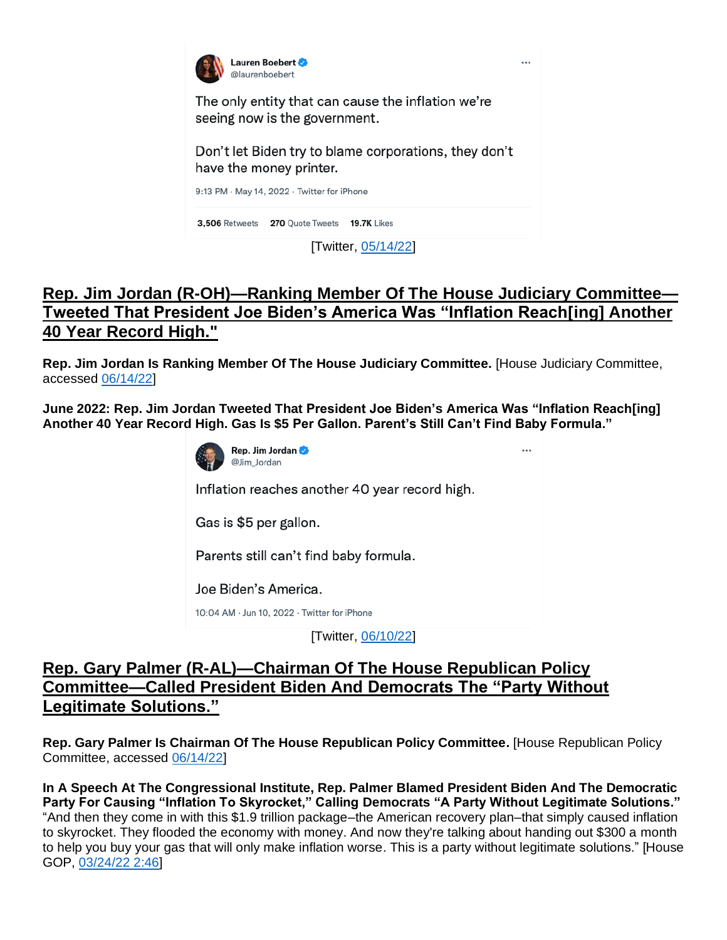

## **Rep. Jim Jordan (R-OH)—Ranking Member Of The House Judiciary Committee— Tweeted That President Joe Biden's America Was "Inflation Reach[ing] Another 40 Year Record High."**

**Rep. Jim Jordan Is Ranking Member Of The House Judiciary Committee.** [House Judiciary Committee, accessed [06/14/22\]](https://republicans-judiciary.house.gov/ranking-member/)

**June 2022: Rep. Jim Jordan Tweeted That President Joe Biden's America Was "Inflation Reach[ing] Another 40 Year Record High. Gas Is \$5 Per Gallon. Parent's Still Can't Find Baby Formula."**



[Twitter, [06/10/22\]](https://twitter.com/Jim_Jordan/status/1535261633836204035)

### **Rep. Gary Palmer (R-AL)—Chairman Of The House Republican Policy Committee—Called President Biden And Democrats The "Party Without Legitimate Solutions."**

**Rep. Gary Palmer Is Chairman Of The House Republican Policy Committee.** [House Republican Policy Committee, accessed [06/14/22\]](https://republicanpolicy.house.gov/about/history-committee-membership)

**In A Speech At The Congressional Institute, Rep. Palmer Blamed President Biden And The Democratic Party For Causing "Inflation To Skyrocket," Calling Democrats "A Party Without Legitimate Solutions."** "And then they come in with this \$1.9 trillion package–the American recovery plan–that simply caused inflation to skyrocket. They flooded the economy with money. And now they're talking about handing out \$300 a month to help you buy your gas that will only make inflation worse. This is a party without legitimate solutions." [House GOP, [03/24/22](https://www.gop.gov/video_feed/rep-gary-palmer-on-skyrocketing-gas-prices-inflation-due-to-biden-and-democrats/) 2:46]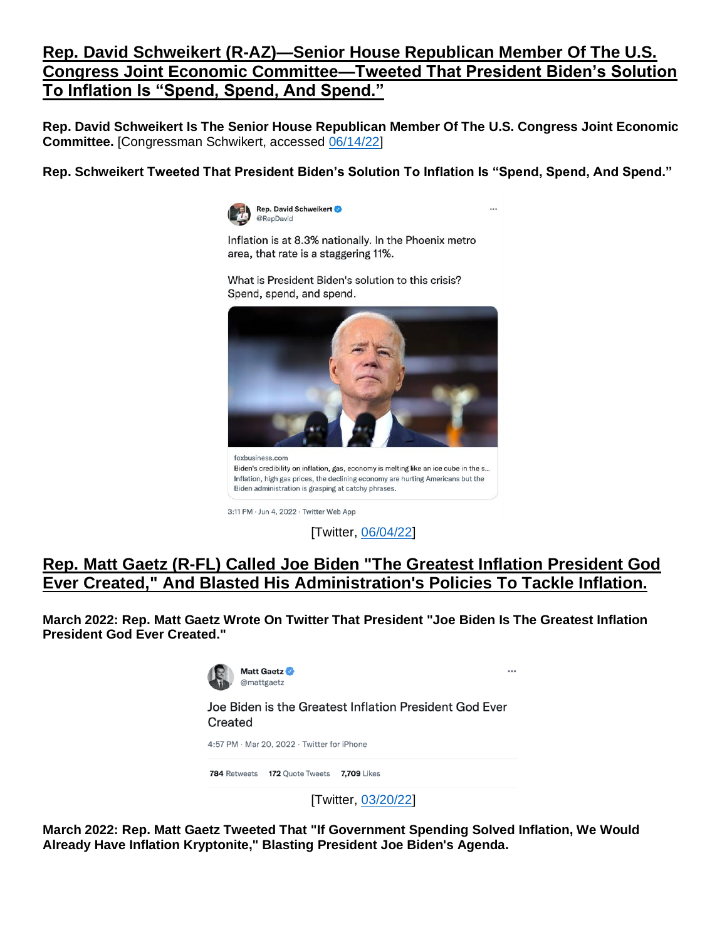# **Rep. David Schweikert (R-AZ)—Senior House Republican Member Of The U.S. Congress Joint Economic Committee—Tweeted That President Biden's Solution To Inflation Is "Spend, Spend, And Spend."**

**Rep. David Schweikert Is The Senior House Republican Member Of The U.S. Congress Joint Economic Committee.** [Congressman Schwikert, accessed [06/14/22\]](https://schweikert.house.gov/committees-assignments/)

**Rep. Schweikert Tweeted That President Biden's Solution To Inflation Is "Spend, Spend, And Spend."** 

...

 $\ddotsc$ 



Inflation is at 8.3% nationally. In the Phoenix metro area, that rate is a staggering 11%.

What is President Biden's solution to this crisis? Spend, spend, and spend.



foxbusiness.com Biden's credibility on inflation, gas, economy is melting like an ice cube in the s... Inflation, high gas prices, the declining economy are hurting Americans but the Biden administration is grasping at catchy phrases.

3:11 PM · Jun 4, 2022 · Twitter Web App

[Twitter, [06/04/22\]](https://twitter.com/RepDavid/status/1533164433232384001)

### **Rep. Matt Gaetz (R-FL) Called Joe Biden "The Greatest Inflation President God Ever Created," And Blasted His Administration's Policies To Tackle Inflation.**

**March 2022: Rep. Matt Gaetz Wrote On Twitter That President "Joe Biden Is The Greatest Inflation President God Ever Created."**



Joe Biden is the Greatest Inflation President God Ever Created

4:57 PM · Mar 20, 2022 · Twitter for iPhone

784 Retweets 172 Quote Tweets 7,709 Likes

[Twitter, [03/20/22\]](https://twitter.com/mattgaetz/status/1505649634777128965)

**March 2022: Rep. Matt Gaetz Tweeted That "If Government Spending Solved Inflation, We Would Already Have Inflation Kryptonite," Blasting President Joe Biden's Agenda.**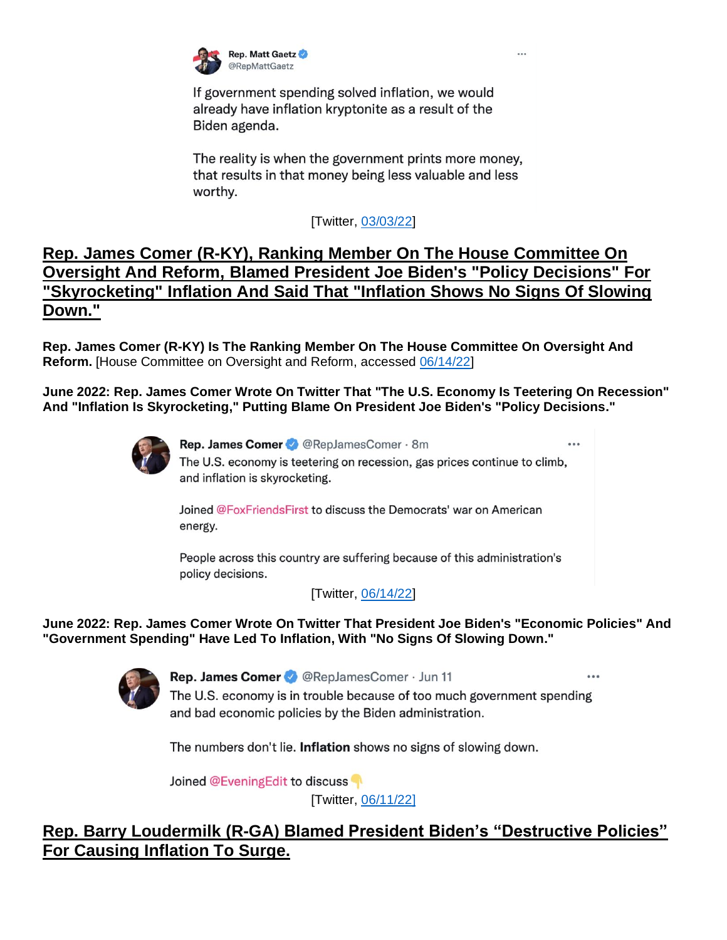

If government spending solved inflation, we would already have inflation kryptonite as a result of the Biden agenda.

The reality is when the government prints more money, that results in that money being less valuable and less worthy.

[Twitter, [03/03/22\]](https://twitter.com/RepMattGaetz/status/1499422656906633224)

## **Rep. James Comer (R-KY), Ranking Member On The House Committee On Oversight And Reform, Blamed President Joe Biden's "Policy Decisions" For "Skyrocketing" Inflation And Said That "Inflation Shows No Signs Of Slowing Down."**

**Rep. James Comer (R-KY) Is The Ranking Member On The House Committee On Oversight And Reform.** [House Committee on Oversight and Reform, accessed [06/14/22\]](https://oversight.house.gov/members)

**June 2022: Rep. James Comer Wrote On Twitter That "The U.S. Economy Is Teetering On Recession" And "Inflation Is Skyrocketing," Putting Blame On President Joe Biden's "Policy Decisions."**



Rep. James Comer & @RepJamesComer · 8m ... The U.S. economy is teetering on recession, gas prices continue to climb, and inflation is skyrocketing.

Joined @FoxFriendsFirst to discuss the Democrats' war on American energy.

People across this country are suffering because of this administration's policy decisions.

[Twitter, [06/14/22\]](https://twitter.com/RepJamesComer/status/1536712249405997060)

**June 2022: Rep. James Comer Wrote On Twitter That President Joe Biden's "Economic Policies" And "Government Spending" Have Led To Inflation, With "No Signs Of Slowing Down."**



Rep. James Comer & @RepJamesComer · Jun 11

The U.S. economy is in trouble because of too much government spending and bad economic policies by the Biden administration.

The numbers don't lie. Inflation shows no signs of slowing down.

Joined @EveningEdit to discuss

[Twitter, [06/11/22\]](https://twitter.com/RepJamesComer/status/1535728919760056322)

# **Rep. Barry Loudermilk (R-GA) Blamed President Biden's "Destructive Policies" For Causing Inflation To Surge.**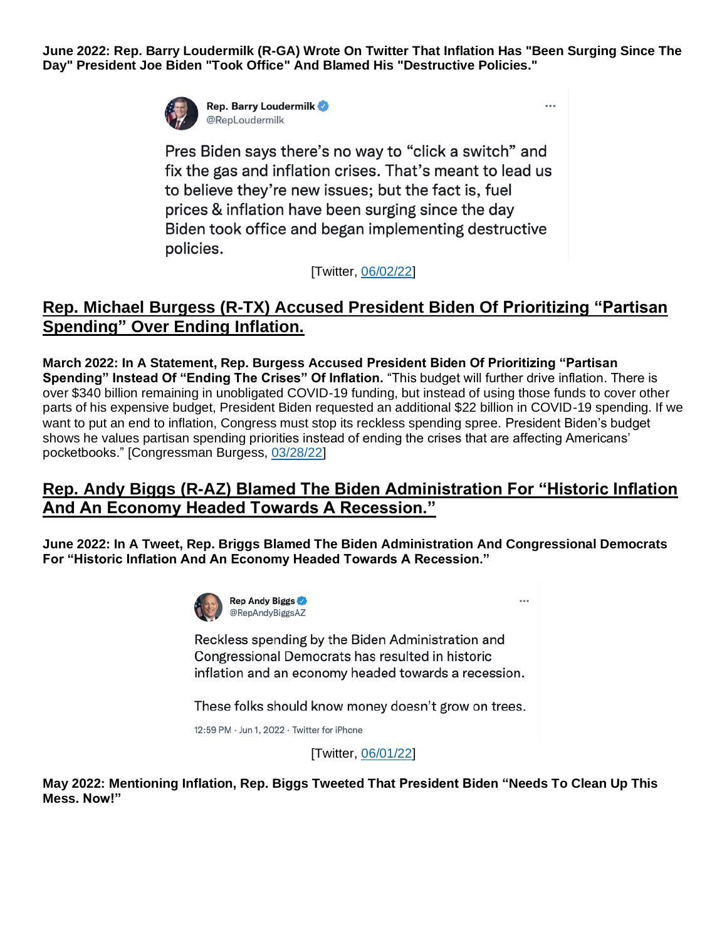**June 2022: Rep. Barry Loudermilk (R-GA) Wrote On Twitter That Inflation Has "Been Surging Since The Day" President Joe Biden "Took Office" And Blamed His "Destructive Policies."**

 $\overline{a}$ 

 $\overline{a}$ 



**Rep. Barry Loudermilk** @RepLoudermilk

Pres Biden says there's no way to "click a switch" and fix the gas and inflation crises. That's meant to lead us to believe they're new issues; but the fact is, fuel prices & inflation have been surging since the day Biden took office and began implementing destructive policies.

[Twitter, [06/02/22\]](https://twitter.com/RepLoudermilk/status/1532424986266304512)

### **Rep. Michael Burgess (R-TX) Accused President Biden Of Prioritizing "Partisan Spending" Over Ending Inflation.**

**March 2022: In A Statement, Rep. Burgess Accused President Biden Of Prioritizing "Partisan Spending" Instead Of "Ending The Crises" Of Inflation.** "This budget will further drive inflation. There is over \$340 billion remaining in unobligated COVID-19 funding, but instead of using those funds to cover other parts of his expensive budget, President Biden requested an additional \$22 billion in COVID-19 spending. If we want to put an end to inflation, Congress must stop its reckless spending spree. President Biden's budget shows he values partisan spending priorities instead of ending the crises that are affecting Americans' pocketbooks." [Congressman Burgess, [03/28/22\]](https://burgess.house.gov/news/documentsingle.aspx?DocumentID=403408)

### **Rep. Andy Biggs (R-AZ) Blamed The Biden Administration For "Historic Inflation And An Economy Headed Towards A Recession."**

**June 2022: In A Tweet, Rep. Briggs Blamed The Biden Administration And Congressional Democrats For "Historic Inflation And An Economy Headed Towards A Recession."** 



Reckless spending by the Biden Administration and Congressional Democrats has resulted in historic inflation and an economy headed towards a recession.

These folks should know money doesn't grow on trees.

12:59 PM · Jun 1, 2022 · Twitter for iPhone

[Twitter, [06/01/22\]](https://twitter.com/RepAndyBiggsAZ/status/1532044225126309889)

**May 2022: Mentioning Inflation, Rep. Biggs Tweeted That President Biden "Needs To Clean Up This Mess. Now!"**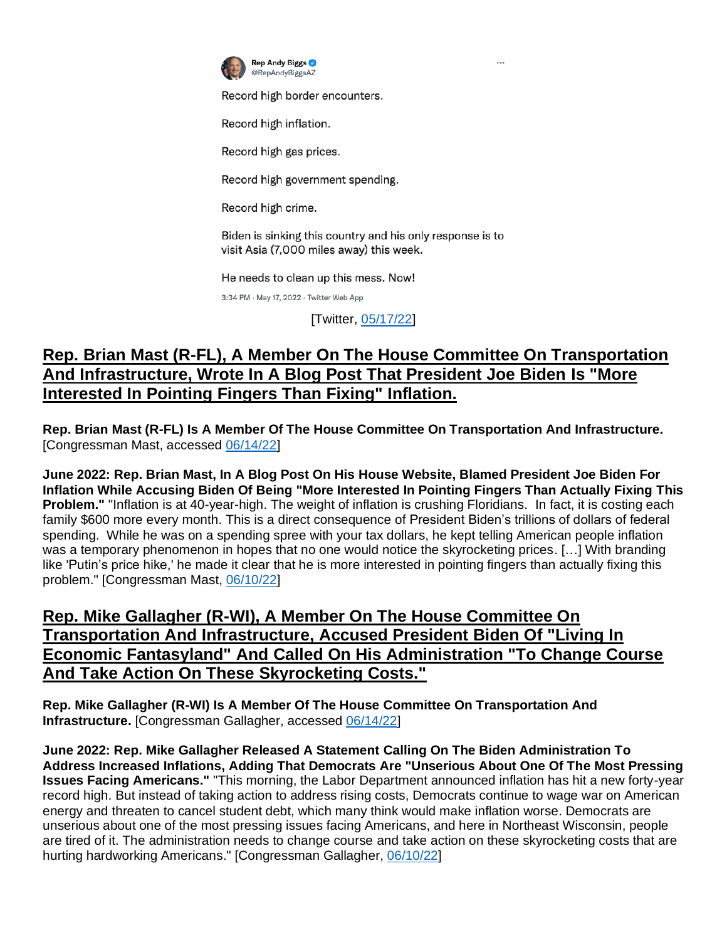

Record high border encounters.

Record high inflation.

Record high gas prices.

Record high government spending.

Record high crime.

Biden is sinking this country and his only response is to visit Asia (7,000 miles away) this week.

He needs to clean up this mess. Now!

3:34 PM · May 17, 2022 · Twitter Web App

[Twitter, [05/17/22\]](https://twitter.com/RepAndyBiggsAZ/status/1526647394875604993)

# **Rep. Brian Mast (R-FL), A Member On The House Committee On Transportation And Infrastructure, Wrote In A Blog Post That President Joe Biden Is "More Interested In Pointing Fingers Than Fixing" Inflation.**

**Rep. Brian Mast (R-FL) Is A Member Of The House Committee On Transportation And Infrastructure.**  [Congressman Mast, accessed [06/14/22\]](https://mast.house.gov/committees)

**June 2022: Rep. Brian Mast, In A Blog Post On His House Website, Blamed President Joe Biden For Inflation While Accusing Biden Of Being "More Interested In Pointing Fingers Than Actually Fixing This Problem."** "Inflation is at 40-year-high. The weight of inflation is crushing Floridians. In fact, it is costing each family \$600 more every month. This is a direct consequence of President Biden's trillions of dollars of federal spending. While he was on a spending spree with your tax dollars, he kept telling American people inflation was a temporary phenomenon in hopes that no one would notice the skyrocketing prices. […] With branding like 'Putin's price hike,' he made it clear that he is more interested in pointing fingers than actually fixing this problem." [Congressman Mast, [06/10/22\]](https://mast.house.gov/2022/6/inflation-is-costing-florida-families-600-each-month)

### **Rep. Mike Gallagher (R-WI), A Member On The House Committee On Transportation And Infrastructure, Accused President Biden Of "Living In Economic Fantasyland" And Called On His Administration "To Change Course And Take Action On These Skyrocketing Costs."**

**Rep. Mike Gallagher (R-WI) Is A Member Of The House Committee On Transportation And Infrastructure.** [Congressman Gallagher, accessed [06/14/22\]](https://gallagher.house.gov/about/committees-and-caucuses)

**June 2022: Rep. Mike Gallagher Released A Statement Calling On The Biden Administration To Address Increased Inflations, Adding That Democrats Are "Unserious About One Of The Most Pressing Issues Facing Americans."** "This morning, the Labor Department announced inflation has hit a new forty-year record high. But instead of taking action to address rising costs, Democrats continue to wage war on American energy and threaten to cancel student debt, which many think would make inflation worse. Democrats are unserious about one of the most pressing issues facing Americans, and here in Northeast Wisconsin, people are tired of it. The administration needs to change course and take action on these skyrocketing costs that are hurting hardworking Americans." [Congressman Gallagher, [06/10/22\]](https://gallagher.house.gov/media/press-releases/gallagher-statement-40-year-high-inflation)